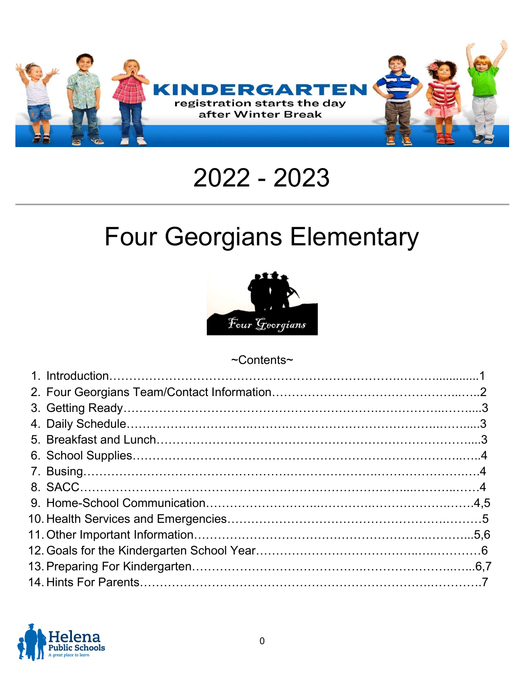

# 2022 - 2023

# Four Georgians Elementary



#### ~Contents~

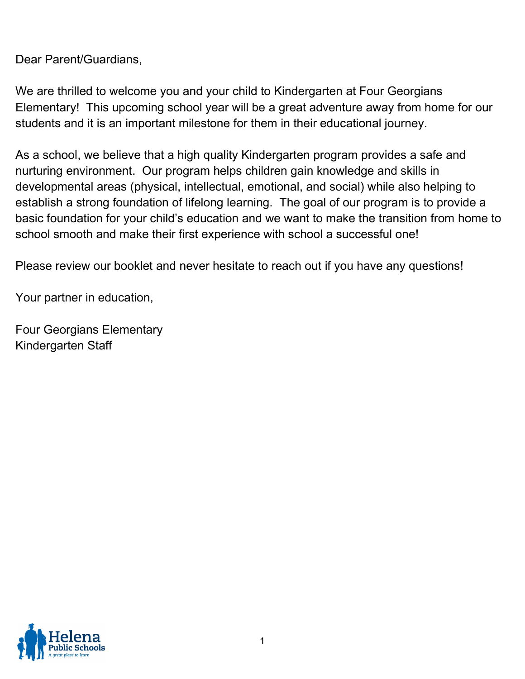Dear Parent/Guardians,

We are thrilled to welcome you and your child to Kindergarten at Four Georgians Elementary! This upcoming school year will be a great adventure away from home for our students and it is an important milestone for them in their educational journey.

As a school, we believe that a high quality Kindergarten program provides a safe and nurturing environment. Our program helps children gain knowledge and skills in developmental areas (physical, intellectual, emotional, and social) while also helping to establish a strong foundation of lifelong learning. The goal of our program is to provide a basic foundation for your child's education and we want to make the transition from home to school smooth and make their first experience with school a successful one!

Please review our booklet and never hesitate to reach out if you have any questions!

Your partner in education,

Four Georgians Elementary Kindergarten Staff

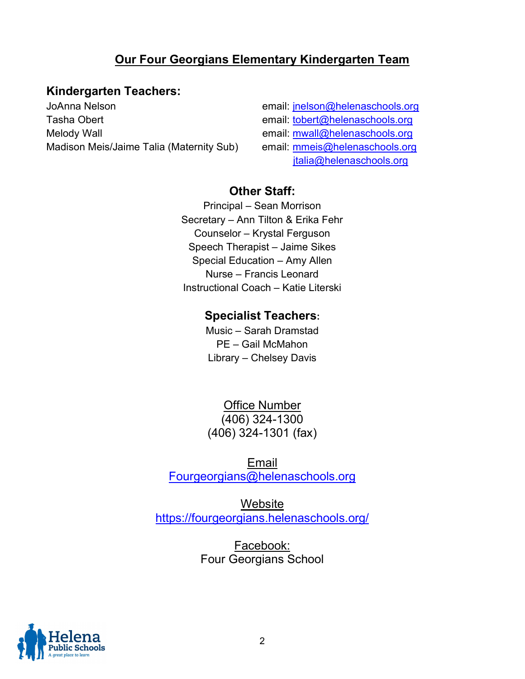### Our Four Georgians Elementary Kindergarten Team

#### Kindergarten Teachers:

JoAnna Nelson email: jnelson@helenaschools.org Tasha Obert email: tobert@helenaschools.org Melody Wall email: mwall@helenaschools.org Madison Meis/Jaime Talia (Maternity Sub) email: mmeis@helenaschools.org

#### jtalia@helenaschools.org

#### Other Staff:

Principal – Sean Morrison Secretary – Ann Tilton & Erika Fehr Counselor – Krystal Ferguson Speech Therapist – Jaime Sikes Special Education – Amy Allen Nurse – Francis Leonard Instructional Coach – Katie Literski

#### Specialist Teachers:

Music – Sarah Dramstad PE – Gail McMahon Library – Chelsey Davis

Office Number (406) 324-1300 (406) 324-1301 (fax)

Email Fourgeorgians@helenaschools.org

Website https://fourgeorgians.helenaschools.org/

> Facebook: Four Georgians School

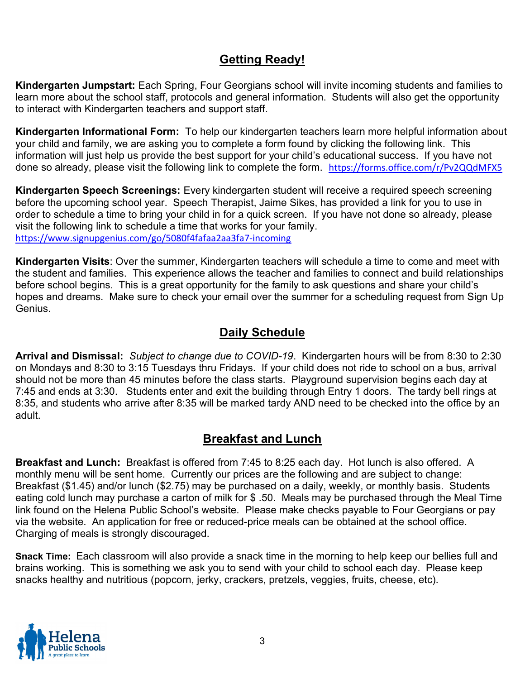## Getting Ready!

Kindergarten Jumpstart: Each Spring, Four Georgians school will invite incoming students and families to learn more about the school staff, protocols and general information. Students will also get the opportunity to interact with Kindergarten teachers and support staff.

Kindergarten Informational Form: To help our kindergarten teachers learn more helpful information about your child and family, we are asking you to complete a form found by clicking the following link. This information will just help us provide the best support for your child's educational success. If you have not done so already, please visit the following link to complete the form. https://forms.office.com/r/Pv2QQdMFX5

Kindergarten Speech Screenings: Every kindergarten student will receive a required speech screening before the upcoming school year. Speech Therapist, Jaime Sikes, has provided a link for you to use in order to schedule a time to bring your child in for a quick screen. If you have not done so already, please visit the following link to schedule a time that works for your family. https://www.signupgenius.com/go/5080f4fafaa2aa3fa7-incoming

Kindergarten Visits: Over the summer, Kindergarten teachers will schedule a time to come and meet with the student and families. This experience allows the teacher and families to connect and build relationships before school begins. This is a great opportunity for the family to ask questions and share your child's hopes and dreams. Make sure to check your email over the summer for a scheduling request from Sign Up Genius.

#### Daily Schedule

Arrival and Dismissal: Subject to change due to COVID-19. Kindergarten hours will be from 8:30 to 2:30 on Mondays and 8:30 to 3:15 Tuesdays thru Fridays. If your child does not ride to school on a bus, arrival should not be more than 45 minutes before the class starts. Playground supervision begins each day at 7:45 and ends at 3:30. Students enter and exit the building through Entry 1 doors. The tardy bell rings at 8:35, and students who arrive after 8:35 will be marked tardy AND need to be checked into the office by an adult.

#### Breakfast and Lunch

Breakfast and Lunch: Breakfast is offered from 7:45 to 8:25 each day. Hot lunch is also offered. A monthly menu will be sent home. Currently our prices are the following and are subject to change: Breakfast (\$1.45) and/or lunch (\$2.75) may be purchased on a daily, weekly, or monthly basis. Students eating cold lunch may purchase a carton of milk for \$ .50. Meals may be purchased through the Meal Time link found on the Helena Public School's website. Please make checks payable to Four Georgians or pay via the website. An application for free or reduced-price meals can be obtained at the school office. Charging of meals is strongly discouraged.

Snack Time: Each classroom will also provide a snack time in the morning to help keep our bellies full and brains working. This is something we ask you to send with your child to school each day. Please keep snacks healthy and nutritious (popcorn, jerky, crackers, pretzels, veggies, fruits, cheese, etc).

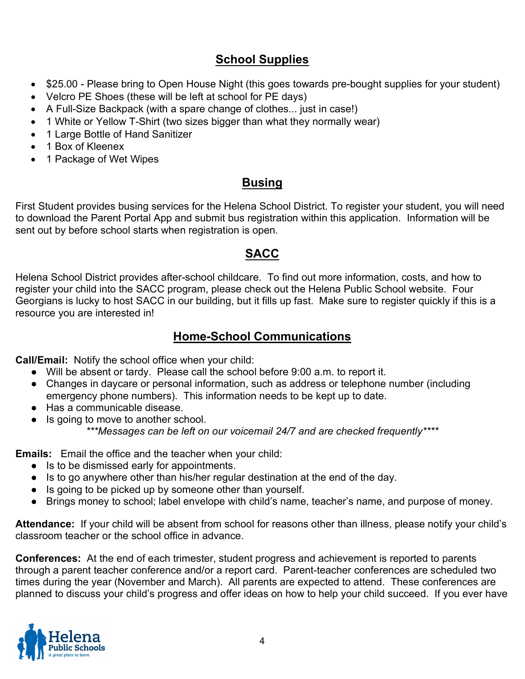## School Supplies

- \$25.00 Please bring to Open House Night (this goes towards pre-bought supplies for your student)
- Velcro PE Shoes (these will be left at school for PE days)
- A Full-Size Backpack (with a spare change of clothes... just in case!)
- 1 White or Yellow T-Shirt (two sizes bigger than what they normally wear)
- 1 Large Bottle of Hand Sanitizer
- 1 Box of Kleenex
- 1 Package of Wet Wipes

## Busing

First Student provides busing services for the Helena School District. To register your student, you will need to download the Parent Portal App and submit bus registration within this application. Information will be sent out by before school starts when registration is open.

## SACC

Helena School District provides after-school childcare. To find out more information, costs, and how to register your child into the SACC program, please check out the Helena Public School website. Four Georgians is lucky to host SACC in our building, but it fills up fast. Make sure to register quickly if this is a resource you are interested in!

## Home-School Communications

Call/Email: Notify the school office when your child:

- Will be absent or tardy. Please call the school before 9:00 a.m. to report it.
- Changes in daycare or personal information, such as address or telephone number (including emergency phone numbers). This information needs to be kept up to date.
- Has a communicable disease.
- Is going to move to another school. \*\*\*Messages can be left on our voicemail 24/7 and are checked frequently\*\*\*\*

Emails: Email the office and the teacher when your child:

- Is to be dismissed early for appointments.
- Is to go anywhere other than his/her regular destination at the end of the day.
- Is going to be picked up by someone other than yourself.
- Brings money to school; label envelope with child's name, teacher's name, and purpose of money.

Attendance: If your child will be absent from school for reasons other than illness, please notify your child's classroom teacher or the school office in advance.

Conferences: At the end of each trimester, student progress and achievement is reported to parents through a parent teacher conference and/or a report card. Parent-teacher conferences are scheduled two times during the year (November and March). All parents are expected to attend. These conferences are planned to discuss your child's progress and offer ideas on how to help your child succeed. If you ever have

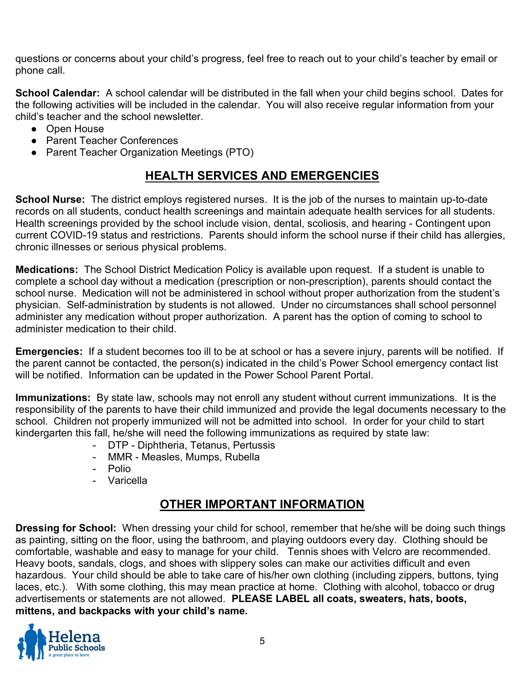questions or concerns about your child's progress, feel free to reach out to your child's teacher by email or phone call.

School Calendar: A school calendar will be distributed in the fall when your child begins school. Dates for the following activities will be included in the calendar. You will also receive regular information from your child's teacher and the school newsletter.

- Open House
- Parent Teacher Conferences
- Parent Teacher Organization Meetings (PTO)

## HEALTH SERVICES AND EMERGENCIES

School Nurse: The district employs registered nurses. It is the job of the nurses to maintain up-to-date records on all students, conduct health screenings and maintain adequate health services for all students. Health screenings provided by the school include vision, dental, scoliosis, and hearing - Contingent upon current COVID-19 status and restrictions. Parents should inform the school nurse if their child has allergies, chronic illnesses or serious physical problems.

Medications: The School District Medication Policy is available upon request. If a student is unable to complete a school day without a medication (prescription or non-prescription), parents should contact the school nurse. Medication will not be administered in school without proper authorization from the student's physician. Self-administration by students is not allowed. Under no circumstances shall school personnel administer any medication without proper authorization. A parent has the option of coming to school to administer medication to their child.

Emergencies: If a student becomes too ill to be at school or has a severe injury, parents will be notified. If the parent cannot be contacted, the person(s) indicated in the child's Power School emergency contact list will be notified. Information can be updated in the Power School Parent Portal.

Immunizations: By state law, schools may not enroll any student without current immunizations. It is the responsibility of the parents to have their child immunized and provide the legal documents necessary to the school. Children not properly immunized will not be admitted into school. In order for your child to start kindergarten this fall, he/she will need the following immunizations as required by state law:

- DTP Diphtheria, Tetanus, Pertussis
- MMR Measles, Mumps, Rubella
- Polio
- Varicella

## OTHER IMPORTANT INFORMATION

**Dressing for School:** When dressing your child for school, remember that he/she will be doing such things as painting, sitting on the floor, using the bathroom, and playing outdoors every day. Clothing should be comfortable, washable and easy to manage for your child. Tennis shoes with Velcro are recommended. Heavy boots, sandals, clogs, and shoes with slippery soles can make our activities difficult and even hazardous. Your child should be able to take care of his/her own clothing (including zippers, buttons, tying laces, etc.). With some clothing, this may mean practice at home. Clothing with alcohol, tobacco or drug advertisements or statements are not allowed. PLEASE LABEL all coats, sweaters, hats, boots, mittens, and backpacks with your child's name.

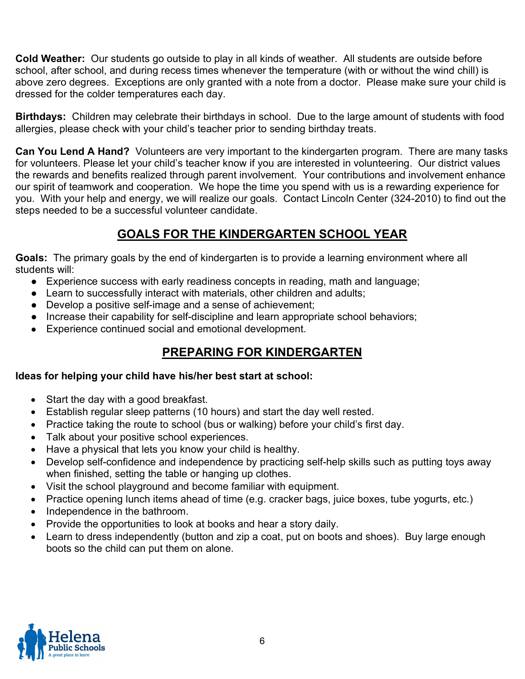Cold Weather: Our students go outside to play in all kinds of weather. All students are outside before school, after school, and during recess times whenever the temperature (with or without the wind chill) is above zero degrees. Exceptions are only granted with a note from a doctor. Please make sure your child is dressed for the colder temperatures each day.

**Birthdays:** Children may celebrate their birthdays in school. Due to the large amount of students with food allergies, please check with your child's teacher prior to sending birthday treats.

Can You Lend A Hand? Volunteers are very important to the kindergarten program. There are many tasks for volunteers. Please let your child's teacher know if you are interested in volunteering. Our district values the rewards and benefits realized through parent involvement. Your contributions and involvement enhance our spirit of teamwork and cooperation. We hope the time you spend with us is a rewarding experience for you. With your help and energy, we will realize our goals. Contact Lincoln Center (324-2010) to find out the steps needed to be a successful volunteer candidate.

## GOALS FOR THE KINDERGARTEN SCHOOL YEAR

Goals: The primary goals by the end of kindergarten is to provide a learning environment where all students will:

- Experience success with early readiness concepts in reading, math and language;
- Learn to successfully interact with materials, other children and adults;
- Develop a positive self-image and a sense of achievement;
- Increase their capability for self-discipline and learn appropriate school behaviors;
- Experience continued social and emotional development.

#### PREPARING FOR KINDERGARTEN

#### Ideas for helping your child have his/her best start at school:

- Start the day with a good breakfast.
- Establish regular sleep patterns (10 hours) and start the day well rested.
- Practice taking the route to school (bus or walking) before your child's first day.
- Talk about your positive school experiences.
- Have a physical that lets you know your child is healthy.
- Develop self-confidence and independence by practicing self-help skills such as putting toys away when finished, setting the table or hanging up clothes.
- Visit the school playground and become familiar with equipment.
- Practice opening lunch items ahead of time (e.g. cracker bags, juice boxes, tube yogurts, etc.)
- Independence in the bathroom.
- Provide the opportunities to look at books and hear a story daily.
- Learn to dress independently (button and zip a coat, put on boots and shoes). Buy large enough boots so the child can put them on alone.